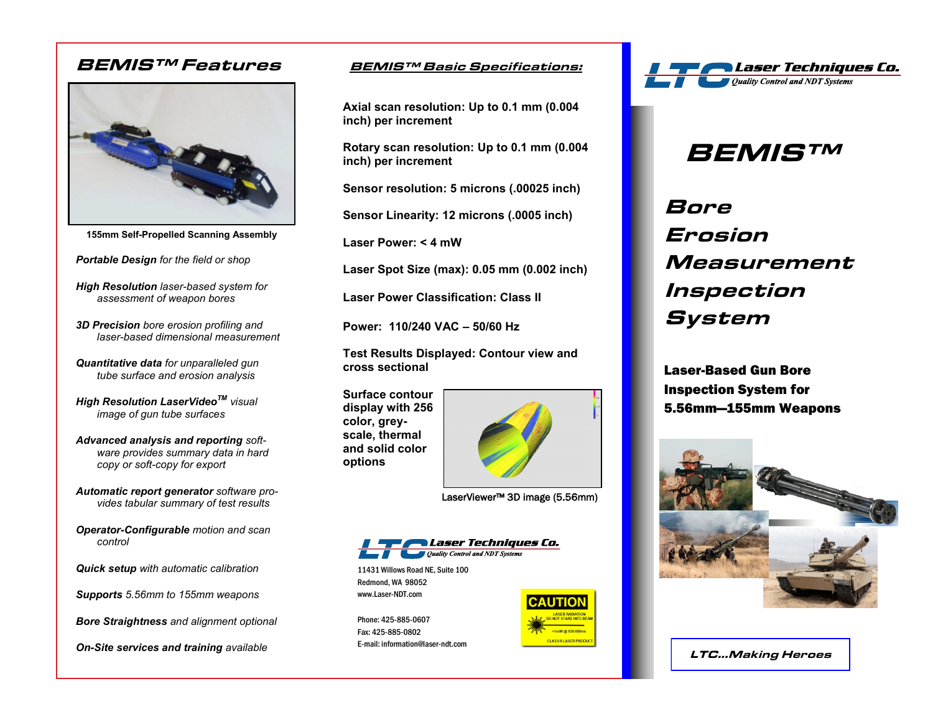### **BEMIS™ Features BEMIS™ Basic Specifications:**



**155mm Self-Propelled Scanning Assembly**

*Portable Design for the field or shop* 

*High Resolution laser-based system for assessment of weapon bores*

*3D Precision bore erosion profiling and laser-based dimensional measurement*

*Quantitative data for unparalleled gun tube surface and erosion analysis*

*High Resolution LaserVideoTM visual image of gun tube surfaces*

*Advanced analysis and reporting software provides summary data in hard copy or soft-copy for export*

*Automatic report generator software provides tabular summary of test results*

*Operator-Configurable motion and scan control*

*Quick setup with automatic calibration* 

*Supports 5.56mm to 155mm weapons*

*Bore Straightness and alignment optional* 

*On-Site services and training available*

**Axial scan resolution: Up to 0.1 mm (0.004 inch) per increment**

**Rotary scan resolution: Up to 0.1 mm (0.004 inch) per increment**

**Sensor resolution: 5 microns (.00025 inch)**

**Sensor Linearity: 12 microns (.0005 inch)**

**Laser Power: < 4 mW**

**Laser Spot Size (max): 0.05 mm (0.002 inch)**

**Laser Power Classification: Class II**

**Power: 110/240 VAC – 50/60 Hz**

**Test Results Displayed: Contour view and cross sectional**

**Surface contour display with 256 color, greyscale, thermal and solid color options**



LaserViewer™ 3D image (5.56mm)



11431 Willows Road NE, Suite 100 Redmond, WA 98052 www.Laser-NDT.com

Phone: 425-885-0607 Fax: 425-885-0802 E-mail: information@laser-ndt.com





## **BEMIS™**

# **Bore Erosion Measurement Inspection System**

Laser-Based Gun Bore Inspection System for 5.56mm—155mm Weapons



**LTC...Making Heroes**